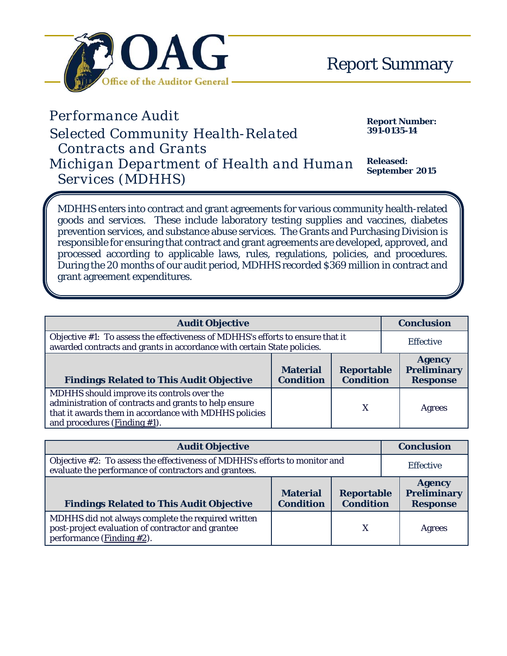

Á

## *Performance Audit Report Number: Selected Community Health-Related Contracts and Grants Michigan Department of Health and Human Services (MDHHS)*

**391-0135-14**

**Released: September 2015**

MDHHS enters into contract and grant agreements for various community health-related goods and services. These include laboratory testing supplies and vaccines, diabetes prevention services, and substance abuse services. The Grants and Purchasing Division is responsible for ensuring that contract and grant agreements are developed, approved, and processed according to applicable laws, rules, regulations, policies, and procedures. During the 20 months of our audit period, MDHHS recorded \$369 million in contract and grant agreement expenditures.

| <b>Audit Objective</b>                                                                                                                                                                          | <b>Conclusion</b>                   |                                       |                                                        |
|-------------------------------------------------------------------------------------------------------------------------------------------------------------------------------------------------|-------------------------------------|---------------------------------------|--------------------------------------------------------|
| Objective #1: To assess the effectiveness of MDHHS's efforts to ensure that it<br>awarded contracts and grants in accordance with certain State policies.                                       | <b>Effective</b>                    |                                       |                                                        |
| <b>Findings Related to This Audit Objective</b>                                                                                                                                                 | <b>Material</b><br><b>Condition</b> | <b>Reportable</b><br><b>Condition</b> | <b>Agency</b><br><b>Preliminary</b><br><b>Response</b> |
| MDHHS should improve its controls over the<br>administration of contracts and grants to help ensure<br>that it awards them in accordance with MDHHS policies<br>and procedures (Finding $#1$ ). |                                     | X                                     | Agrees                                                 |

| <b>Audit Objective</b>                                                                                                                   |                                     |                                       |  | <b>Conclusion</b>                                      |  |
|------------------------------------------------------------------------------------------------------------------------------------------|-------------------------------------|---------------------------------------|--|--------------------------------------------------------|--|
| Objective #2: To assess the effectiveness of MDHHS's efforts to monitor and<br>evaluate the performance of contractors and grantees.     |                                     |                                       |  | <b>Effective</b>                                       |  |
| <b>Findings Related to This Audit Objective</b>                                                                                          | <b>Material</b><br><b>Condition</b> | <b>Reportable</b><br><b>Condition</b> |  | <b>Agency</b><br><b>Preliminary</b><br><b>Response</b> |  |
| MDHHS did not always complete the required written<br>post-project evaluation of contractor and grantee<br>performance ( $Finding #2$ ). |                                     | X                                     |  | Agrees                                                 |  |